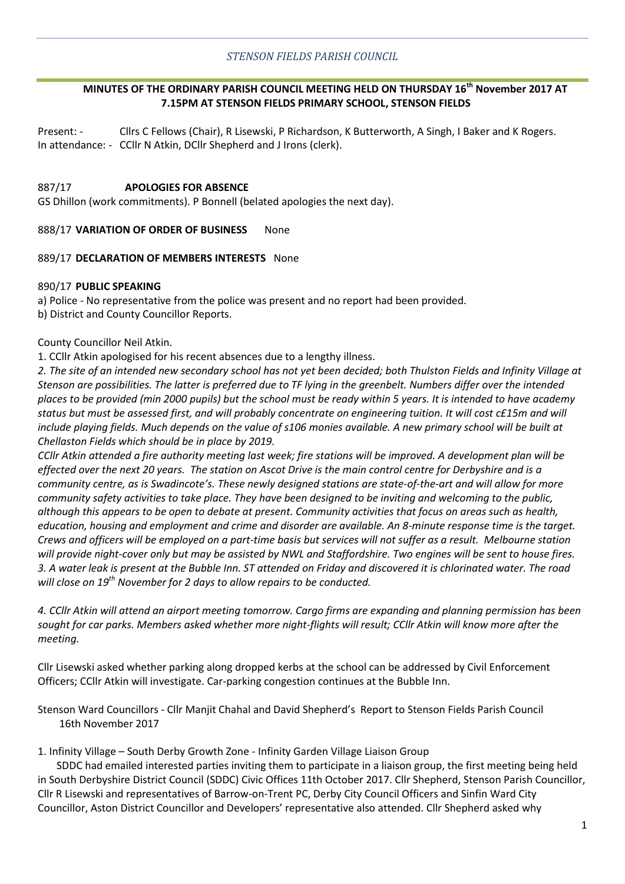# **MINUTES OF THE ORDINARY PARISH COUNCIL MEETING HELD ON THURSDAY 16th November 2017 AT 7.15PM AT STENSON FIELDS PRIMARY SCHOOL, STENSON FIELDS**

Present: - Cllrs C Fellows (Chair), R Lisewski, P Richardson, K Butterworth, A Singh, I Baker and K Rogers. In attendance: - CCllr N Atkin, DCllr Shepherd and J Irons (clerk).

## 887/17 **APOLOGIES FOR ABSENCE**

GS Dhillon (work commitments). P Bonnell (belated apologies the next day).

#### 888/17 **VARIATION OF ORDER OF BUSINESS** None

## 889/17 **DECLARATION OF MEMBERS INTERESTS** None

#### 890/17 **PUBLIC SPEAKING**

a) Police - No representative from the police was present and no report had been provided. b) District and County Councillor Reports.

## County Councillor Neil Atkin.

1. CCllr Atkin apologised for his recent absences due to a lengthy illness.

*2. The site of an intended new secondary school has not yet been decided; both Thulston Fields and Infinity Village at Stenson are possibilities. The latter is preferred due to TF lying in the greenbelt. Numbers differ over the intended places to be provided (min 2000 pupils) but the school must be ready within 5 years. It is intended to have academy status but must be assessed first, and will probably concentrate on engineering tuition. It will cost c£15m and will*  include playing fields. Much depends on the value of s106 monies available. A new primary school will be built at *Chellaston Fields which should be in place by 2019.* 

*CCllr Atkin attended a fire authority meeting last week; fire stations will be improved. A development plan will be effected over the next 20 years. The station on Ascot Drive is the main control centre for Derbyshire and is a community centre, as is Swadincote's. These newly designed stations are state-of-the-art and will allow for more community safety activities to take place. They have been designed to be inviting and welcoming to the public, although this appears to be open to debate at present. Community activities that focus on areas such as health, education, housing and employment and crime and disorder are available. An 8-minute response time is the target. Crews and officers will be employed on a part-time basis but services will not suffer as a result. Melbourne station will provide night-cover only but may be assisted by NWL and Staffordshire. Two engines will be sent to house fires. 3. A water leak is present at the Bubble Inn. ST attended on Friday and discovered it is chlorinated water. The road will close on 19th November for 2 days to allow repairs to be conducted.* 

*4. CCllr Atkin will attend an airport meeting tomorrow. Cargo firms are expanding and planning permission has been sought for car parks. Members asked whether more night-flights will result; CCllr Atkin will know more after the meeting.* 

Cllr Lisewski asked whether parking along dropped kerbs at the school can be addressed by Civil Enforcement Officers; CCllr Atkin will investigate. Car-parking congestion continues at the Bubble Inn.

Stenson Ward Councillors - Cllr Manjit Chahal and David Shepherd's Report to Stenson Fields Parish Council 16th November 2017

1. Infinity Village – South Derby Growth Zone - Infinity Garden Village Liaison Group

SDDC had emailed interested parties inviting them to participate in a liaison group, the first meeting being held in South Derbyshire District Council (SDDC) Civic Offices 11th October 2017. Cllr Shepherd, Stenson Parish Councillor, Cllr R Lisewski and representatives of Barrow-on-Trent PC, Derby City Council Officers and Sinfin Ward City Councillor, Aston District Councillor and Developers' representative also attended. Cllr Shepherd asked why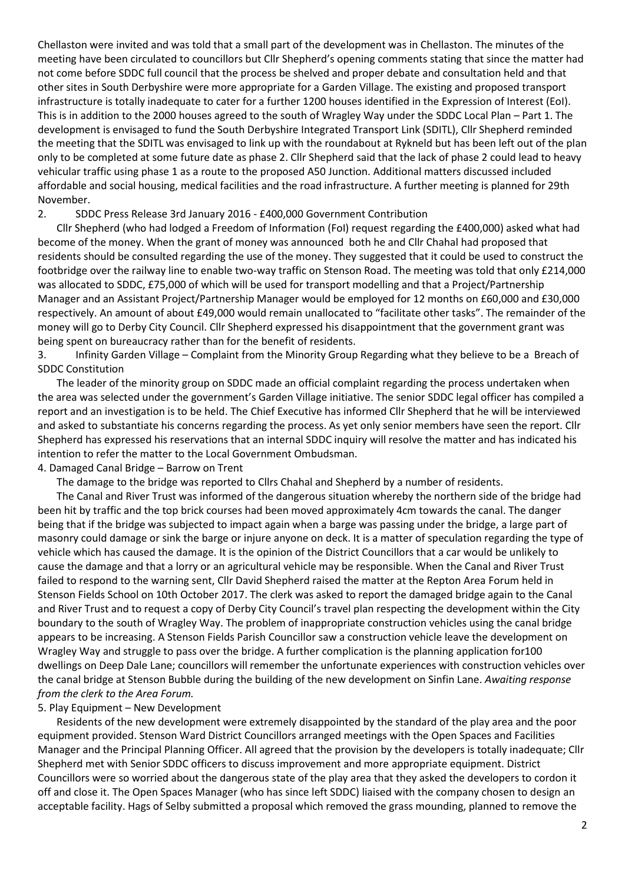Chellaston were invited and was told that a small part of the development was in Chellaston. The minutes of the meeting have been circulated to councillors but Cllr Shepherd's opening comments stating that since the matter had not come before SDDC full council that the process be shelved and proper debate and consultation held and that other sites in South Derbyshire were more appropriate for a Garden Village. The existing and proposed transport infrastructure is totally inadequate to cater for a further 1200 houses identified in the Expression of Interest (EoI). This is in addition to the 2000 houses agreed to the south of Wragley Way under the SDDC Local Plan – Part 1. The development is envisaged to fund the South Derbyshire Integrated Transport Link (SDITL), Cllr Shepherd reminded the meeting that the SDITL was envisaged to link up with the roundabout at Rykneld but has been left out of the plan only to be completed at some future date as phase 2. Cllr Shepherd said that the lack of phase 2 could lead to heavy vehicular traffic using phase 1 as a route to the proposed A50 Junction. Additional matters discussed included affordable and social housing, medical facilities and the road infrastructure. A further meeting is planned for 29th November.

2. SDDC Press Release 3rd January 2016 - £400,000 Government Contribution

Cllr Shepherd (who had lodged a Freedom of Information (FoI) request regarding the £400,000) asked what had become of the money. When the grant of money was announced both he and Cllr Chahal had proposed that residents should be consulted regarding the use of the money. They suggested that it could be used to construct the footbridge over the railway line to enable two-way traffic on Stenson Road. The meeting was told that only £214,000 was allocated to SDDC, £75,000 of which will be used for transport modelling and that a Project/Partnership Manager and an Assistant Project/Partnership Manager would be employed for 12 months on £60,000 and £30,000 respectively. An amount of about £49,000 would remain unallocated to "facilitate other tasks". The remainder of the money will go to Derby City Council. Cllr Shepherd expressed his disappointment that the government grant was being spent on bureaucracy rather than for the benefit of residents.

3. Infinity Garden Village – Complaint from the Minority Group Regarding what they believe to be a Breach of SDDC Constitution

The leader of the minority group on SDDC made an official complaint regarding the process undertaken when the area was selected under the government's Garden Village initiative. The senior SDDC legal officer has compiled a report and an investigation is to be held. The Chief Executive has informed Cllr Shepherd that he will be interviewed and asked to substantiate his concerns regarding the process. As yet only senior members have seen the report. Cllr Shepherd has expressed his reservations that an internal SDDC inquiry will resolve the matter and has indicated his intention to refer the matter to the Local Government Ombudsman.

4. Damaged Canal Bridge – Barrow on Trent

The damage to the bridge was reported to Cllrs Chahal and Shepherd by a number of residents.

The Canal and River Trust was informed of the dangerous situation whereby the northern side of the bridge had been hit by traffic and the top brick courses had been moved approximately 4cm towards the canal. The danger being that if the bridge was subjected to impact again when a barge was passing under the bridge, a large part of masonry could damage or sink the barge or injure anyone on deck. It is a matter of speculation regarding the type of vehicle which has caused the damage. It is the opinion of the District Councillors that a car would be unlikely to cause the damage and that a lorry or an agricultural vehicle may be responsible. When the Canal and River Trust failed to respond to the warning sent, Cllr David Shepherd raised the matter at the Repton Area Forum held in Stenson Fields School on 10th October 2017. The clerk was asked to report the damaged bridge again to the Canal and River Trust and to request a copy of Derby City Council's travel plan respecting the development within the City boundary to the south of Wragley Way. The problem of inappropriate construction vehicles using the canal bridge appears to be increasing. A Stenson Fields Parish Councillor saw a construction vehicle leave the development on Wragley Way and struggle to pass over the bridge. A further complication is the planning application for100 dwellings on Deep Dale Lane; councillors will remember the unfortunate experiences with construction vehicles over the canal bridge at Stenson Bubble during the building of the new development on Sinfin Lane. *Awaiting response from the clerk to the Area Forum.* 

#### 5. Play Equipment – New Development

Residents of the new development were extremely disappointed by the standard of the play area and the poor equipment provided. Stenson Ward District Councillors arranged meetings with the Open Spaces and Facilities Manager and the Principal Planning Officer. All agreed that the provision by the developers is totally inadequate; Cllr Shepherd met with Senior SDDC officers to discuss improvement and more appropriate equipment. District Councillors were so worried about the dangerous state of the play area that they asked the developers to cordon it off and close it. The Open Spaces Manager (who has since left SDDC) liaised with the company chosen to design an acceptable facility. Hags of Selby submitted a proposal which removed the grass mounding, planned to remove the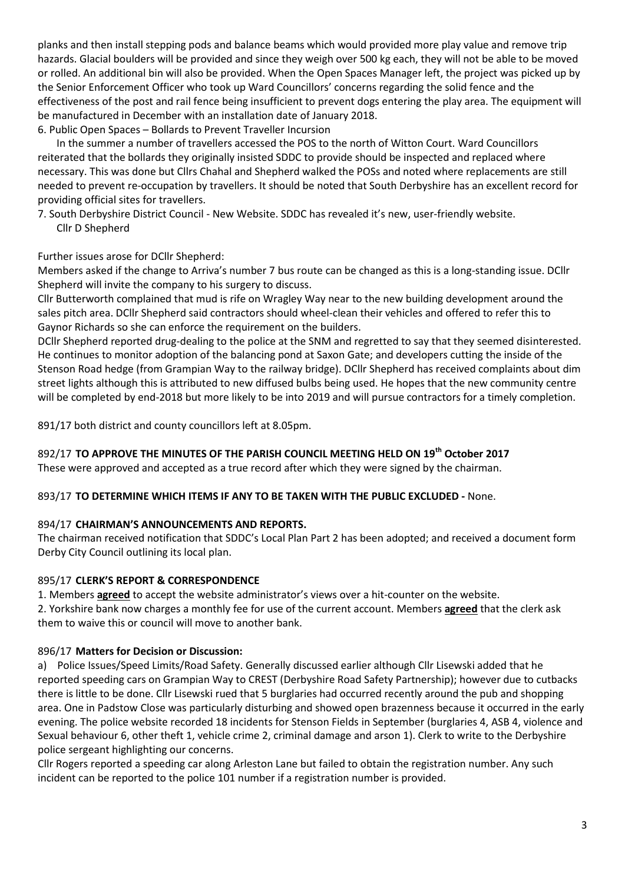planks and then install stepping pods and balance beams which would provided more play value and remove trip hazards. Glacial boulders will be provided and since they weigh over 500 kg each, they will not be able to be moved or rolled. An additional bin will also be provided. When the Open Spaces Manager left, the project was picked up by the Senior Enforcement Officer who took up Ward Councillors' concerns regarding the solid fence and the effectiveness of the post and rail fence being insufficient to prevent dogs entering the play area. The equipment will be manufactured in December with an installation date of January 2018.

6. Public Open Spaces – Bollards to Prevent Traveller Incursion

In the summer a number of travellers accessed the POS to the north of Witton Court. Ward Councillors reiterated that the bollards they originally insisted SDDC to provide should be inspected and replaced where necessary. This was done but Cllrs Chahal and Shepherd walked the POSs and noted where replacements are still needed to prevent re-occupation by travellers. It should be noted that South Derbyshire has an excellent record for providing official sites for travellers.

7. South Derbyshire District Council - New Website. SDDC has revealed it's new, user-friendly website. Cllr D Shepherd

Further issues arose for DCllr Shepherd:

Members asked if the change to Arriva's number 7 bus route can be changed as this is a long-standing issue. DCllr Shepherd will invite the company to his surgery to discuss.

Cllr Butterworth complained that mud is rife on Wragley Way near to the new building development around the sales pitch area. DCllr Shepherd said contractors should wheel-clean their vehicles and offered to refer this to Gaynor Richards so she can enforce the requirement on the builders.

DCllr Shepherd reported drug-dealing to the police at the SNM and regretted to say that they seemed disinterested. He continues to monitor adoption of the balancing pond at Saxon Gate; and developers cutting the inside of the Stenson Road hedge (from Grampian Way to the railway bridge). DCllr Shepherd has received complaints about dim street lights although this is attributed to new diffused bulbs being used. He hopes that the new community centre will be completed by end-2018 but more likely to be into 2019 and will pursue contractors for a timely completion.

891/17 both district and county councillors left at 8.05pm.

# 892/17 **TO APPROVE THE MINUTES OF THE PARISH COUNCIL MEETING HELD ON 19th October 2017**

These were approved and accepted as a true record after which they were signed by the chairman.

# 893/17 **TO DETERMINE WHICH ITEMS IF ANY TO BE TAKEN WITH THE PUBLIC EXCLUDED -** None.

# 894/17 **CHAIRMAN'S ANNOUNCEMENTS AND REPORTS.**

The chairman received notification that SDDC's Local Plan Part 2 has been adopted; and received a document form Derby City Council outlining its local plan.

# 895/17 **CLERK'S REPORT & CORRESPONDENCE**

1. Members **agreed** to accept the website administrator's views over a hit-counter on the website. 2. Yorkshire bank now charges a monthly fee for use of the current account. Members **agreed** that the clerk ask them to waive this or council will move to another bank.

# 896/17 **Matters for Decision or Discussion:**

a) Police Issues/Speed Limits/Road Safety. Generally discussed earlier although Cllr Lisewski added that he reported speeding cars on Grampian Way to CREST (Derbyshire Road Safety Partnership); however due to cutbacks there is little to be done. Cllr Lisewski rued that 5 burglaries had occurred recently around the pub and shopping area. One in Padstow Close was particularly disturbing and showed open brazenness because it occurred in the early evening. The police website recorded 18 incidents for Stenson Fields in September (burglaries 4, ASB 4, violence and Sexual behaviour 6, other theft 1, vehicle crime 2, criminal damage and arson 1). Clerk to write to the Derbyshire police sergeant highlighting our concerns.

Cllr Rogers reported a speeding car along Arleston Lane but failed to obtain the registration number. Any such incident can be reported to the police 101 number if a registration number is provided.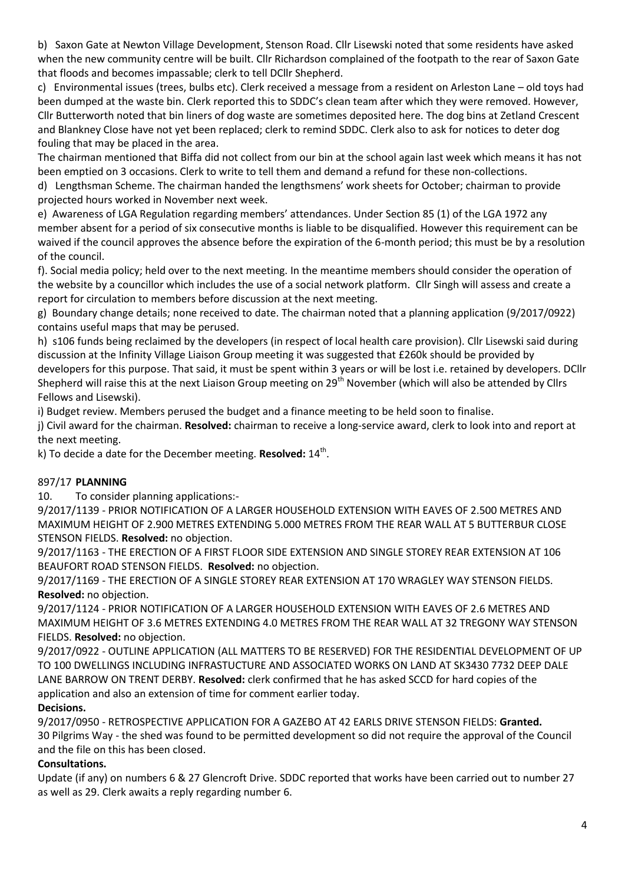b) Saxon Gate at Newton Village Development, Stenson Road. Cllr Lisewski noted that some residents have asked when the new community centre will be built. Cllr Richardson complained of the footpath to the rear of Saxon Gate that floods and becomes impassable; clerk to tell DCllr Shepherd.

c) Environmental issues (trees, bulbs etc). Clerk received a message from a resident on Arleston Lane – old toys had been dumped at the waste bin. Clerk reported this to SDDC's clean team after which they were removed. However, Cllr Butterworth noted that bin liners of dog waste are sometimes deposited here. The dog bins at Zetland Crescent and Blankney Close have not yet been replaced; clerk to remind SDDC. Clerk also to ask for notices to deter dog fouling that may be placed in the area.

The chairman mentioned that Biffa did not collect from our bin at the school again last week which means it has not been emptied on 3 occasions. Clerk to write to tell them and demand a refund for these non-collections.

d) Lengthsman Scheme. The chairman handed the lengthsmens' work sheets for October; chairman to provide projected hours worked in November next week.

e) Awareness of LGA Regulation regarding members' attendances. Under Section 85 (1) of the LGA 1972 any member absent for a period of six consecutive months is liable to be disqualified. However this requirement can be waived if the council approves the absence before the expiration of the 6-month period; this must be by a resolution of the council.

f). Social media policy; held over to the next meeting. In the meantime members should consider the operation of the website by a councillor which includes the use of a social network platform. Cllr Singh will assess and create a report for circulation to members before discussion at the next meeting.

g) Boundary change details; none received to date. The chairman noted that a planning application (9/2017/0922) contains useful maps that may be perused.

h) s106 funds being reclaimed by the developers (in respect of local health care provision). Cllr Lisewski said during discussion at the Infinity Village Liaison Group meeting it was suggested that £260k should be provided by developers for this purpose. That said, it must be spent within 3 years or will be lost i.e. retained by developers. DCllr Shepherd will raise this at the next Liaison Group meeting on 29<sup>th</sup> November (which will also be attended by Cllrs Fellows and Lisewski).

i) Budget review. Members perused the budget and a finance meeting to be held soon to finalise.

j) Civil award for the chairman. **Resolved:** chairman to receive a long-service award, clerk to look into and report at the next meeting.

k) To decide a date for the December meeting. **Resolved:** 14<sup>th</sup>.

# 897/17 **PLANNING**

10. To consider planning applications:-

9/2017/1139 - PRIOR NOTIFICATION OF A LARGER HOUSEHOLD EXTENSION WITH EAVES OF 2.500 METRES AND MAXIMUM HEIGHT OF 2.900 METRES EXTENDING 5.000 METRES FROM THE REAR WALL AT 5 BUTTERBUR CLOSE STENSON FIELDS. **Resolved:** no objection.

9/2017/1163 - THE ERECTION OF A FIRST FLOOR SIDE EXTENSION AND SINGLE STOREY REAR EXTENSION AT 106 BEAUFORT ROAD STENSON FIELDS. **Resolved:** no objection.

9/2017/1169 - THE ERECTION OF A SINGLE STOREY REAR EXTENSION AT 170 WRAGLEY WAY STENSON FIELDS. **Resolved:** no objection.

9/2017/1124 - PRIOR NOTIFICATION OF A LARGER HOUSEHOLD EXTENSION WITH EAVES OF 2.6 METRES AND MAXIMUM HEIGHT OF 3.6 METRES EXTENDING 4.0 METRES FROM THE REAR WALL AT 32 TREGONY WAY STENSON FIELDS. **Resolved:** no objection.

9/2017/0922 - OUTLINE APPLICATION (ALL MATTERS TO BE RESERVED) FOR THE RESIDENTIAL DEVELOPMENT OF UP TO 100 DWELLINGS INCLUDING INFRASTUCTURE AND ASSOCIATED WORKS ON LAND AT SK3430 7732 DEEP DALE LANE BARROW ON TRENT DERBY. **Resolved:** clerk confirmed that he has asked SCCD for hard copies of the application and also an extension of time for comment earlier today.

# **Decisions.**

9/2017/0950 - RETROSPECTIVE APPLICATION FOR A GAZEBO AT 42 EARLS DRIVE STENSON FIELDS: **Granted.** 30 Pilgrims Way - the shed was found to be permitted development so did not require the approval of the Council and the file on this has been closed.

# **Consultations.**

Update (if any) on numbers 6 & 27 Glencroft Drive. SDDC reported that works have been carried out to number 27 as well as 29. Clerk awaits a reply regarding number 6.